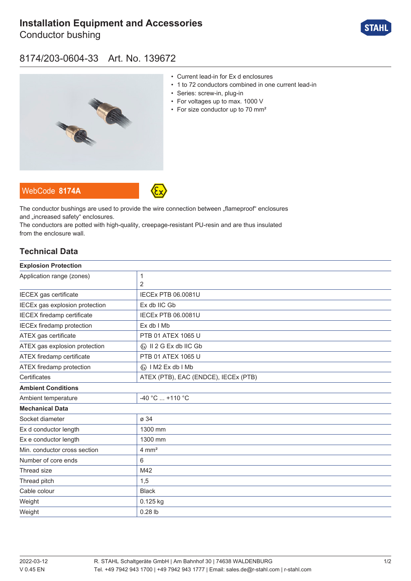# **[Installation Equipment and Accessories](https://r-stahl.com/en/global/products/materialid/139672)**

Conductor bushing



## 8174/203-0604-33 Art. No. 139672



- Current lead-in for Ex d enclosures
- 1 to 72 conductors combined in one current lead-in
- Series: screw-in, plug-in
- For voltages up to max. 1000 V
- For size conductor up to 70 mm<sup>2</sup>





The conductor bushings are used to provide the wire connection between "flameproof" enclosures and ..increased safety" enclosures.

The conductors are potted with high-quality, creepage-resistant PU-resin and are thus insulated from the enclosure wall.

### **Technical Data**

| <b>Explosion Protection</b>       |                                         |
|-----------------------------------|-----------------------------------------|
| Application range (zones)         | 1                                       |
|                                   | 2                                       |
| IECEX gas certificate             | <b>IECEX PTB 06.0081U</b>               |
| IECEx gas explosion protection    | Ex db IIC Gb                            |
| <b>IECEX</b> firedamp certificate | <b>IECEx PTB 06.0081U</b>               |
| <b>IECEx firedamp protection</b>  | $Ex$ db $I$ Mb                          |
| ATEX gas certificate              | PTB 01 ATEX 1065 U                      |
| ATEX gas explosion protection     | $\langle x \rangle$ II 2 G Ex db IIC Gb |
| ATEX firedamp certificate         | PTB 01 ATEX 1065 U                      |
| ATEX firedamp protection          | « I M2 Ex db I Mb                       |
| Certificates                      | ATEX (PTB), EAC (ENDCE), IECEx (PTB)    |
| <b>Ambient Conditions</b>         |                                         |
| Ambient temperature               | $-40 °C  +110 °C$                       |
| <b>Mechanical Data</b>            |                                         |
| Socket diameter                   | ø 34                                    |
| Ex d conductor length             | 1300 mm                                 |
| Ex e conductor length             | 1300 mm                                 |
| Min. conductor cross section      | $4 \, \text{mm}^2$                      |
| Number of core ends               | 6                                       |
| Thread size                       | M42                                     |
| Thread pitch                      | 1,5                                     |
| Cable colour                      | <b>Black</b>                            |
| Weight                            | 0.125 kg                                |
| Weight                            | $0.28$ lb                               |